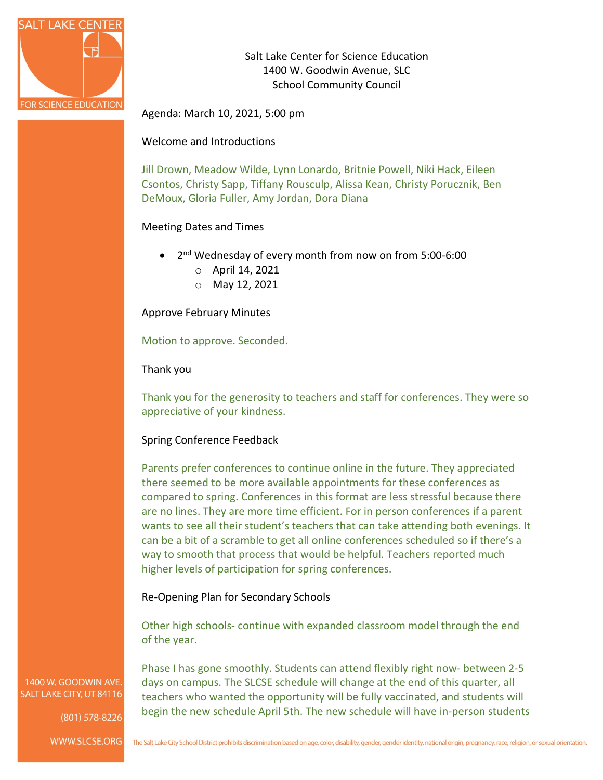

Salt Lake Center for Science Education 1400 W. Goodwin Avenue, SLC School Community Council

Agenda: March 10, 2021, 5:00 pm

Welcome and Introductions

Jill Drown, Meadow Wilde, Lynn Lonardo, Britnie Powell, Niki Hack, Eileen Csontos, Christy Sapp, Tiffany Rousculp, Alissa Kean, Christy Porucznik, Ben DeMoux, Gloria Fuller, Amy Jordan, Dora Diana

# Meeting Dates and Times

- 2nd Wednesday of every month from now on from 5:00-6:00
	- o April 14, 2021
	- o May 12, 2021

Approve February Minutes

Motion to approve. Seconded.

Thank you

Thank you for the generosity to teachers and staff for conferences. They were so appreciative of your kindness.

# Spring Conference Feedback

Parents prefer conferences to continue online in the future. They appreciated there seemed to be more available appointments for these conferences as compared to spring. Conferences in this format are less stressful because there are no lines. They are more time efficient. For in person conferences if a parent wants to see all their student's teachers that can take attending both evenings. It can be a bit of a scramble to get all online conferences scheduled so if there's a way to smooth that process that would be helpful. Teachers reported much higher levels of participation for spring conferences.

# Re-Opening Plan for Secondary Schools

Other high schools- continue with expanded classroom model through the end of the year.

Phase I has gone smoothly. Students can attend flexibly right now- between 2-5 days on campus. The SLCSE schedule will change at the end of this quarter, all teachers who wanted the opportunity will be fully vaccinated, and students will begin the new schedule April 5th. The new schedule will have in-person students

1400 W. GOODWIN AVE. SALT LAKE CITY, UT 84116

(801) 578-8226

WWW.SLCSE.ORG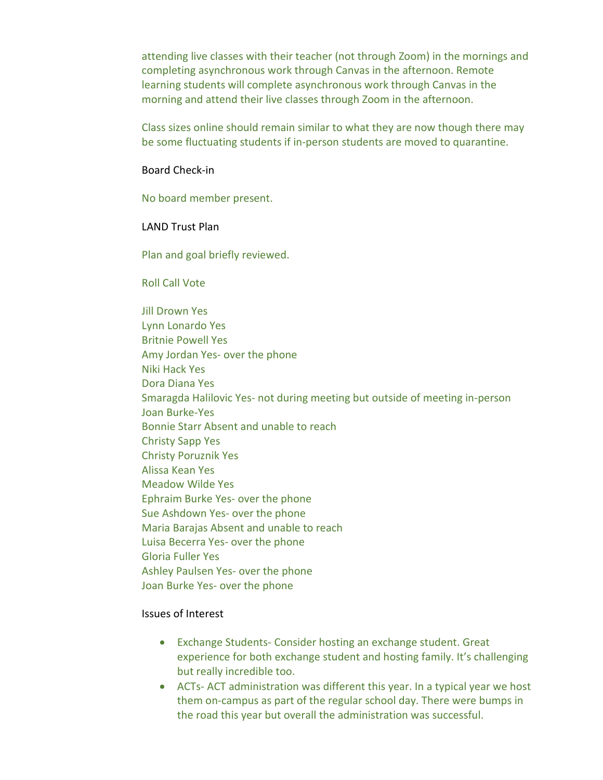attending live classes with their teacher (not through Zoom) in the mornings and completing asynchronous work through Canvas in the afternoon. Remote learning students will complete asynchronous work through Canvas in the morning and attend their live classes through Zoom in the afternoon.

Class sizes online should remain similar to what they are now though there may be some fluctuating students if in-person students are moved to quarantine.

#### Board Check-in

No board member present.

### LAND Trust Plan

Plan and goal briefly reviewed.

Roll Call Vote

Jill Drown Yes Lynn Lonardo Yes Britnie Powell Yes Amy Jordan Yes- over the phone Niki Hack Yes Dora Diana Yes Smaragda Halilovic Yes- not during meeting but outside of meeting in-person Joan Burke-Yes Bonnie Starr Absent and unable to reach Christy Sapp Yes Christy Poruznik Yes Alissa Kean Yes Meadow Wilde Yes Ephraim Burke Yes- over the phone Sue Ashdown Yes- over the phone Maria Barajas Absent and unable to reach Luisa Becerra Yes- over the phone Gloria Fuller Yes Ashley Paulsen Yes- over the phone Joan Burke Yes- over the phone

### Issues of Interest

- Exchange Students- Consider hosting an exchange student. Great experience for both exchange student and hosting family. It's challenging but really incredible too.
- ACTs- ACT administration was different this year. In a typical year we host them on-campus as part of the regular school day. There were bumps in the road this year but overall the administration was successful.